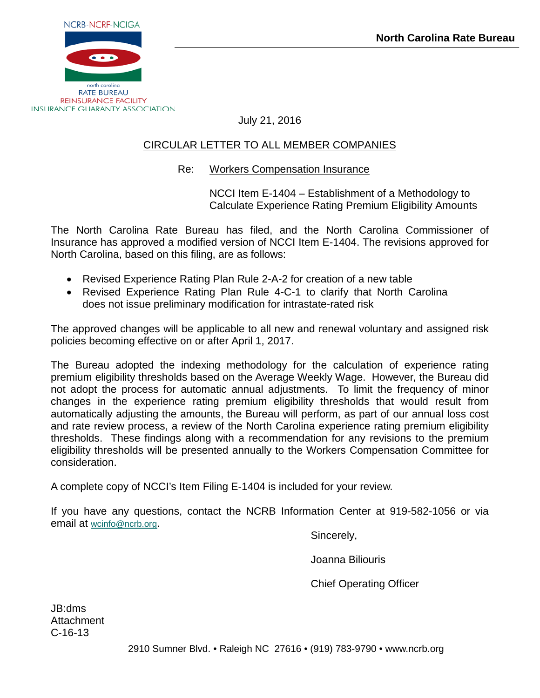

July 21, 2016

# CIRCULAR LETTER TO ALL MEMBER COMPANIES

# Re: Workers Compensation Insurance

NCCI Item E-1404 – Establishment of a Methodology to Calculate Experience Rating Premium Eligibility Amounts

The North Carolina Rate Bureau has filed, and the North Carolina Commissioner of Insurance has approved a modified version of NCCI Item E-1404. The revisions approved for North Carolina, based on this filing, are as follows:

- Revised Experience Rating Plan Rule 2-A-2 for creation of a new table
- Revised Experience Rating Plan Rule 4-C-1 to clarify that North Carolina does not issue preliminary modification for intrastate-rated risk

The approved changes will be applicable to all new and renewal voluntary and assigned risk policies becoming effective on or after April 1, 2017.

The Bureau adopted the indexing methodology for the calculation of experience rating premium eligibility thresholds based on the Average Weekly Wage. However, the Bureau did not adopt the process for automatic annual adjustments. To limit the frequency of minor changes in the experience rating premium eligibility thresholds that would result from automatically adjusting the amounts, the Bureau will perform, as part of our annual loss cost and rate review process, a review of the North Carolina experience rating premium eligibility thresholds. These findings along with a recommendation for any revisions to the premium eligibility thresholds will be presented annually to the Workers Compensation Committee for consideration.

A complete copy of NCCI's Item Filing E-1404 is included for your review.

If you have any questions, contact the NCRB Information Center at 919-582-1056 or via email at [wcinfo@ncrb.org.](mailto:wcinfo@ncrb.org)

Sincerely,

Joanna Biliouris

Chief Operating Officer

JB:dms **Attachment** C-16-13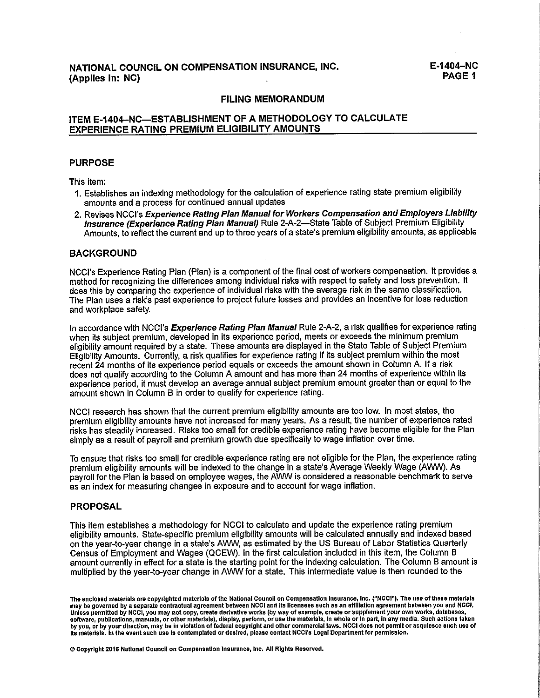#### **FILING MEMORANDUM**

# ITEM E-1404-NC-ESTABLISHMENT OF A METHODOLOGY TO CALCULATE **EXPERIENCE RATING PREMIUM ELIGIBILITY AMOUNTS**

#### **PURPOSE**

This item:

- 1. Establishes an indexing methodology for the calculation of experience rating state premium eligibility amounts and a process for continued annual updates
- 2. Revises NCCI's Experience Rating Plan Manual for Workers Compensation and Employers Liability Insurance (Experience Rating Plan Manual) Rule 2-A-2-State Table of Subject Premium Eligibility Amounts, to reflect the current and up to three years of a state's premium eligibility amounts, as applicable

#### **BACKGROUND**

NCCI's Experience Rating Plan (Plan) is a component of the final cost of workers compensation. It provides a method for recognizing the differences among individual risks with respect to safety and loss prevention. It does this by comparing the experience of individual risks with the average risk in the same classification. The Plan uses a risk's past experience to project future losses and provides an incentive for loss reduction and workplace safety.

In accordance with NCCI's Experience Rating Plan Manual Rule 2-A-2, a risk qualifies for experience rating when its subject premium, developed in its experience period, meets or exceeds the minimum premium eligibility amount required by a state. These amounts are displayed in the State Table of Subject Premium Eligibility Amounts. Currently, a risk qualifies for experience rating if its subject premium within the most recent 24 months of its experience period equals or exceeds the amount shown in Column A. If a risk does not qualify according to the Column A amount and has more than 24 months of experience within its experience period, it must develop an average annual subject premium amount greater than or equal to the amount shown in Column B in order to qualify for experience rating.

NCCI research has shown that the current premium eligibility amounts are too low. In most states, the premium eligibility amounts have not increased for many years. As a result, the number of experience rated risks has steadily increased. Risks too small for credible experience rating have become eligible for the Plan simply as a result of payroll and premium growth due specifically to wage inflation over time.

To ensure that risks too small for credible experience rating are not eligible for the Plan, the experience rating premium eligibility amounts will be indexed to the change in a state's Average Weekly Wage (AWW). As payroll for the Plan is based on employee wages, the AWW is considered a reasonable benchmark to serve as an index for measuring changes in exposure and to account for wage inflation.

### **PROPOSAL**

This item establishes a methodology for NCCI to calculate and update the experience rating premium eligibility amounts. State-specific premium eligibility amounts will be calculated annually and indexed based on the year-to-year change in a state's AVW, as estimated by the US Bureau of Labor Statistics Quarterly Census of Employment and Wages (QCEW). In the first calculation included in this item, the Column B amount currently in effect for a state is the starting point for the indexing calculation. The Column B amount is multiplied by the year-to-year change in AWW for a state. This intermediate value is then rounded to the

@ Copyright 2016 National Council on Compensation Insurance, Inc. All Rights Reserved.

The enclosed materials are copyrighted materials of the National Council on Compensation Insurance, Inc. ("NCCI"). The use of these materials may be governed by a separate contractual agreement between NCCI and its licensees such as an affiliation agreement between you and NCCI. Unless permitted by NCCl, you may not copy, create derivative works (by way of example, create or supplement your own works, databases,<br>software, publications, manuals, or other materials), display, perform, or use the mat by you, or by your direction, may be in violation of federal copyright and other commercial laws. NCCI does not permit or acquiesce such use of its materials. In the event such use is contemplated or desired, please contact NCCI's Legal Department for permission.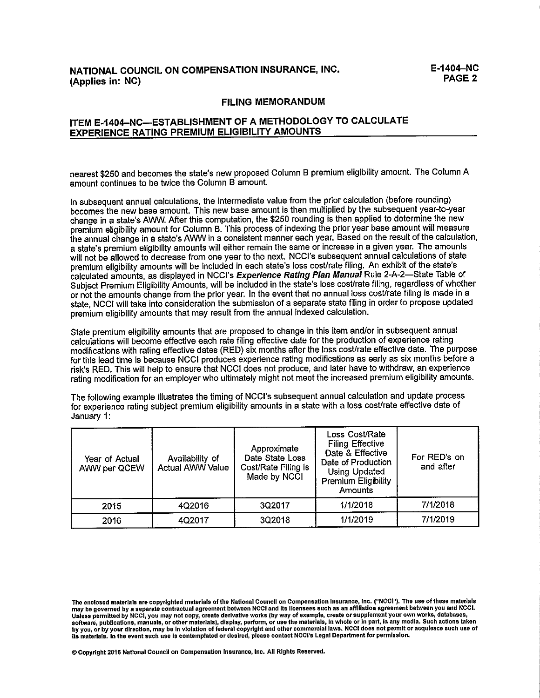# NATIONAL COUNCIL ON COMPENSATION INSURANCE, INC. (Applies in: NC)

#### **FILING MEMORANDUM**

## ITEM E-1404-NC-ESTABLISHMENT OF A METHODOLOGY TO CALCULATE **EXPERIENCE RATING PREMIUM ELIGIBILITY AMOUNTS**

nearest \$250 and becomes the state's new proposed Column B premium eligibility amount. The Column A amount continues to be twice the Column B amount.

In subsequent annual calculations, the intermediate value from the prior calculation (before rounding) becomes the new base amount. This new base amount is then multiplied by the subsequent vear-to-vear change in a state's AWW. After this computation, the \$250 rounding is then applied to determine the new premium eligibility amount for Column B. This process of indexing the prior year base amount will measure the annual change in a state's AWW in a consistent manner each year. Based on the result of the calculation. a state's premium eligibility amounts will either remain the same or increase in a given year. The amounts will not be allowed to decrease from one year to the next. NCCI's subsequent annual calculations of state premium eligibility amounts will be included in each state's loss cost/rate filing. An exhibit of the state's calculated amounts, as displayed in NCCI's Experience Rating Plan Manual Rule 2-A-2-State Table of Subject Premium Eligibility Amounts, will be included in the state's loss cost/rate filing, regardless of whether or not the amounts change from the prior year. In the event that no annual loss cost/rate filing is made in a state, NCCI will take into consideration the submission of a separate state filing in order to propose updated premium eligibility amounts that may result from the annual indexed calculation.

State premium eligibility amounts that are proposed to change in this item and/or in subsequent annual calculations will become effective each rate filing effective date for the production of experience rating modifications with rating effective dates (RED) six months after the loss cost/rate effective date. The purpose for this lead time is because NCCI produces experience rating modifications as early as six months before a risk's RED. This will help to ensure that NCCI does not produce, and later have to withdraw, an experience rating modification for an employer who ultimately might not meet the increased premium eligibility amounts.

The following example illustrates the timing of NCCI's subsequent annual calculation and update process for experience rating subject premium eligibility amounts in a state with a loss cost/rate effective date of January 1:

| Year of Actual<br>AWW per QCEW | Availability of<br><b>Actual AWW Value</b> | Approximate<br>Date State Loss<br>Cost/Rate Filing is<br>Made by NCCI | Loss Cost/Rate<br><b>Filing Effective</b><br>Date & Effective<br>Date of Production<br><b>Using Updated</b><br><b>Premium Eligibility</b><br>Amounts | For RED's on<br>and after |
|--------------------------------|--------------------------------------------|-----------------------------------------------------------------------|------------------------------------------------------------------------------------------------------------------------------------------------------|---------------------------|
| 2015                           | 4Q2016                                     | 3Q2017                                                                | 1/1/2018                                                                                                                                             | 7/1/2018                  |
| 2016                           | 4Q2017                                     | 3Q2018                                                                | 1/1/2019                                                                                                                                             | 7/1/2019                  |

© Coovright 2016 National Council on Compensation Insurance, Inc. All Rights Reserved.

The enclosed materials are copyrighted materials of the National Council on Compensation Insurance, Inc. ("NCCI"). The use of these materials may be governed by a separate contractual agreement between NCCI and its licensees such as an affiliation agreement between you and NCCI. Unless permitted by NCCI, you may not copy, create derivative works (by way of example, create or supplement your own works, databases,<br>Boftware, publications, manuals, or other materials), display, perform, or use the mat by you, or by your direction, may be in violation of federal copyright and other commercial laws. NCCI does not permit or acquiesce such use of its materials. In the event such use is contemplated or desired, please contact NCCI's Legal Department for permission.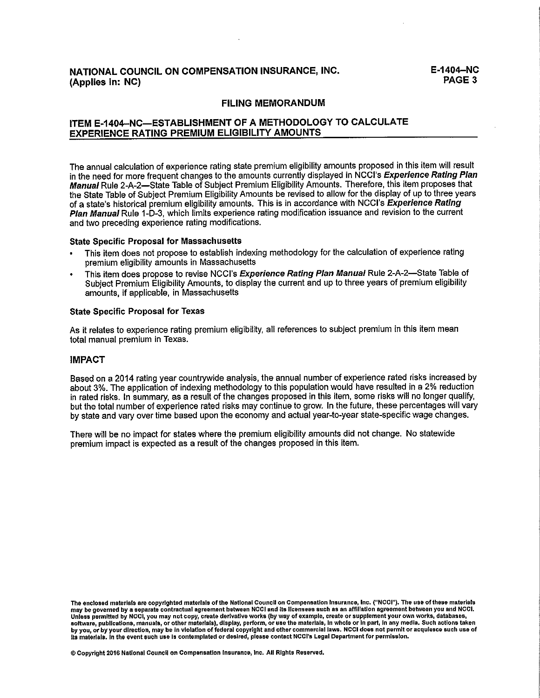# NATIONAL COUNCIL ON COMPENSATION INSURANCE, INC. (Applies in: NC)

#### **FILING MEMORANDUM**

# ITEM E-1404-NC-ESTABLISHMENT OF A METHODOLOGY TO CALCULATE **EXPERIENCE RATING PREMIUM ELIGIBILITY AMOUNTS**

The annual calculation of experience rating state premium eligibility amounts proposed in this item will result in the need for more frequent changes to the amounts currently displayed in NCCI's Experience Rating Plan Manual Rule 2-A-2—State Table of Subject Premium Eligibility Amounts. Therefore, this item proposes that the State Table of Subject Premium Eligibility Amounts be revised to allow for the display of up to three years of a state's historical premium eligibility amounts. This is in accordance with NCCI's Experience Rating Plan Manual Rule 1-D-3, which limits experience rating modification issuance and revision to the current and two preceding experience rating modifications.

#### **State Specific Proposal for Massachusetts**

- This item does not propose to establish indexing methodology for the calculation of experience rating premium eligibility amounts in Massachusetts
- This item does propose to revise NCCI's Experience Rating Plan Manual Rule 2-A-2-State Table of Subject Premium Eligibility Amounts, to display the current and up to three years of premium eligibility amounts, if applicable, in Massachusetts

#### **State Specific Proposal for Texas**

As it relates to experience rating premium eligibility, all references to subject premium in this item mean total manual premium in Texas.

### **IMPACT**

Based on a 2014 rating year countrywide analysis, the annual number of experience rated risks increased by about 3%. The application of indexing methodology to this population would have resulted in a 2% reduction in rated risks. In summary, as a result of the changes proposed in this item, some risks will no longer qualify, but the total number of experience rated risks may continue to grow. In the future, these percentages will vary by state and vary over time based upon the economy and actual year-to-year state-specific wage changes.

There will be no impact for states where the premium eligibility amounts did not change. No statewide premium impact is expected as a result of the changes proposed in this item.

© Copyright 2016 National Council on Compensation Insurance, Inc. All Rights Reserved.

The enclosed materials are copyrighted materials of the National Council on Compensation Insurance, Inc. ("NCCI"). The use of these materials may be governed by a separate contractual agreement between NCCI and its licensees such as an affiliation agreement between you and NCCI. Unless permitted by NCCI, you may not copy, create derivative works (by way of example, create or supplement your own works, databases,<br>software, publications, manuals, or other materials), display, perform, or use the mat by you, or by your direction, may be in violation of federal copyright and other commercial laws. NCCI does not permit or acquiesce such use of<br>its materials. In the event such use is contemplated or desired, please contac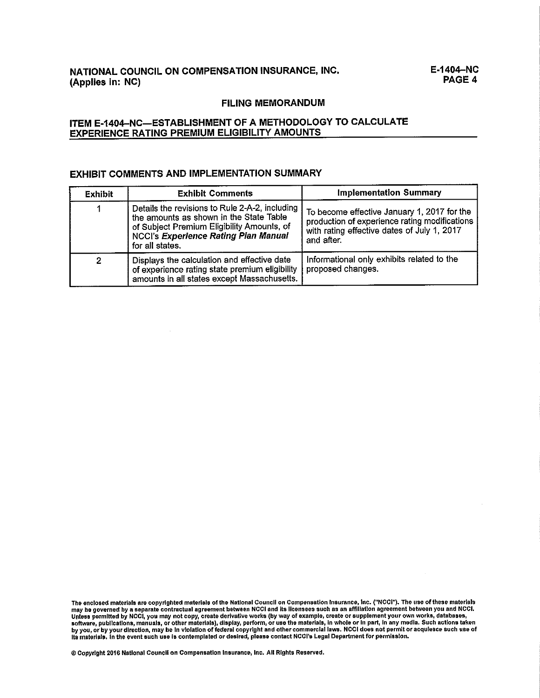### **FILING MEMORANDUM**

# ITEM E-1404-NC-ESTABLISHMENT OF A METHODOLOGY TO CALCULATE **EXPERIENCE RATING PREMIUM ELIGIBILITY AMOUNTS**

#### **EXHIBIT COMMENTS AND IMPLEMENTATION SUMMARY**

| <b>Exhibit</b> | <b>Exhibit Comments</b>                                                                                                                                                                                   | <b>Implementation Summary</b>                                                                                                                             |  |
|----------------|-----------------------------------------------------------------------------------------------------------------------------------------------------------------------------------------------------------|-----------------------------------------------------------------------------------------------------------------------------------------------------------|--|
|                | Details the revisions to Rule 2-A-2, including<br>the amounts as shown in the State Table<br>of Subject Premium Eligibility Amounts, of<br><b>NCCI's Experience Rating Plan Manual</b><br>for all states. | To become effective January 1, 2017 for the<br>production of experience rating modifications<br>with rating effective dates of July 1, 2017<br>and after. |  |
|                | Displays the calculation and effective date<br>of experience rating state premium eligibility<br>amounts in all states except Massachusetts.                                                              | Informational only exhibits related to the<br>proposed changes.                                                                                           |  |

The enclosed materials are copyrighted materials of the National Council on Compensation Insurance, Inc. ("NCCI"). The use of these materials<br>may be governed by a separate contractual agreement between NCCI and its license

© Copyright 2016 National Council on Compensation Insurance, Inc. All Rights Reserved.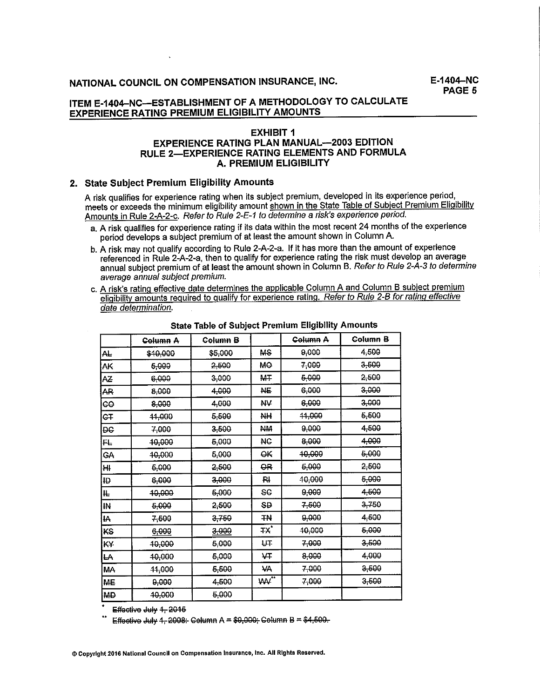$F-1404-NC$ PAGE 5

# ITEM E-1404-NC-ESTABLISHMENT OF A METHODOLOGY TO CALCULATE **EXPERIENCE RATING PREMIUM ELIGIBILITY AMOUNTS**

### **EXHIBIT 1 EXPERIENCE RATING PLAN MANUAL-2003 EDITION** RULE 2-EXPERIENCE RATING ELEMENTS AND FORMULA **A. PREMIUM ELIGIBILITY**

#### 2. State Subiect Premium Eligibility Amounts

A risk qualifies for experience rating when its subject premium, developed in its experience period, meets or exceeds the minimum eligibility amount shown in the State Table of Subiect Premium Eligibility Amounts in Rule 2-A-2-c. Refer to Rule 2-E-1 to determine a risk's experience period.

- a. A risk qualifies for experience rating if its data within the most recent 24 months of the experience period develops a subject premium of at least the amount shown in Column A.
- b. A risk may not qualify according to Rule 2-A-2-a. If it has more than the amount of experience referenced in Rule 2-A-2-a, then to qualify for experience rating the risk must develop an average annual subject premium of at least the amount shown in Column B. Refer to Rule 2-A-3 to determine average annual subject premium.
- c. A risk's rating effective date determines the applicable Column A and Column B subject premium eligibility amounts required to qualify for experience rating. Refer to Rule 2-B for rating effective date determination.

|                | Column A | Column B |           | Column A | Column B  |
|----------------|----------|----------|-----------|----------|-----------|
| AL.            | \$10,000 | \$5,000  | <b>MS</b> | 9,000    | 4,500     |
| АK             | 5,000    | 2,500    | MO        | 7,000    | 3-500     |
| AZ             | 6,000    | 3,000    | M∓        | 5,000    | 2,500     |
| <b>AR</b>      | 8,000    | 4,000    | <b>NE</b> | 6,000    | $3 - 000$ |
| leo            | 8,000    | 4,000    | Ж¥        | 6,000    | 3,000     |
| IG∓            | 11.000   | 5,500    | NН        | 44,000   | 5.500     |
| ÐЄ             | 7,000    | 3,500    | HЖ        | 0,000    | 4,500     |
| FL.            | 40.000   | 5,000    | HC.       | 8,000    | 4,000     |
| GA             | 40,000   | 5,000    | êК        | 40,000   | 6-000     |
| ₩.             | 6,000    | 2,500    | θR        | 5,000    | 2.500     |
| ID.            | 6,000    | 3,000    | RI        | 40,000   | 6,000     |
| ₶              | 40,000   | 6,000    | æ         | 9,000    | 4.500     |
| $\overline{M}$ | 5,000    | 2,500    | <b>SD</b> | 7,500    | 3,750     |
| <b>IA</b>      | 7-600    | 3,750    | ΤN        | 9,000    | 4,600     |
| KS             | 6,000    | 3,000    | тx,       | 40,000   | 5.000     |
| KY.            | 40.000   | 5,000    | ŲŦ        | 7,000    | 3.500     |
| LA.            | 40.000   | 6,000    | ₩         | 8,000    | 4.000     |
| <b>MA</b>      | 11.000   | 5,500    | <b>Ж</b>  | 7,000    | 3,600     |
| MЕ             | 9,000    | 4,500    | ₩"        | 7,000    | 3.500     |
| <b>MD</b>      | 40.000   | 6,000    |           |          |           |

**State Table of Subject Premium Eligibility Amounts** 

Effective July 1, 2015

Effective July 1, 2008: Celumn A = \$9,000; Celumn B = \$4,500.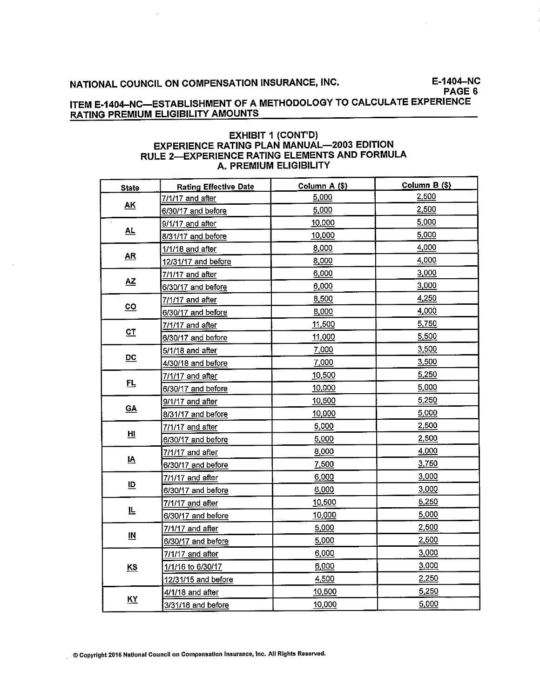E-1404-NC PAGE 6

# ITEM E-1404-NC-ESTABLISHMENT OF A METHODOLOGY TO CALCULATE EXPERIENCE RATING PREMIUM ELIGIBILITY AMOUNTS

## **EXHIBIT 1 (CONT'D)** EXPERIENCE RATING PLAN MANUAL-2003 EDITION RULE 2-EXPERIENCE RATING ELEMENTS AND FORMULA A. PREMIUM ELIGIBILITY

| <b>State</b>              | <b>Rating Effective Date</b> | Column $B($ \$}<br>Column A (\$) |       |
|---------------------------|------------------------------|----------------------------------|-------|
|                           | 7/1/17 and after             | <u>5.000</u>                     | 2,500 |
| $\underline{\mathsf{AK}}$ | 6/30/17 and before           | 5,000                            | 2,500 |
|                           | 9/1/17 and after             | 10,000                           | 5,000 |
| <u>AL</u>                 | 8/31/17 and before           | 10,000                           | 5,000 |
|                           | 1/1/18 and after             | 8,000                            | 4,000 |
| $\mathbf{A}\mathbf{R}$    | 12/31/17 and before          | 8,000                            | 4,000 |
|                           | 7/1/17 and after             | 6,000                            | 3,000 |
| <u>ΑΖ</u>                 | 6/30/17 and before           | 6,000                            | 3,000 |
|                           | 7/1/17 and after             | 8,500                            | 4.250 |
| $\underline{co}$          | 6/30/17 and before           | 8,000                            | 4,000 |
|                           | 7/1/17 and after             | 11,500                           | 5,750 |
| $C_{\perp}$               | 6/30/17 and before           | 11,000                           | 5,500 |
|                           | 5/1/18 and after             | 7.000                            | 3,500 |
| $\underline{DC}$          | 4/30/18 and before           | 7,000                            | 3,500 |
|                           | 7/1/17 and after             | 10,500                           | 5,250 |
| 旦                         | 6/30/17 and before           | 10,000                           | 5,000 |
|                           | 9/1/17 and after             | 10,500                           | 5,250 |
| $\underline{\mathsf{GA}}$ | 8/31/17 and before           | 10,000                           | 5,000 |
| Ш.                        | 7/1/17 and after             | 5,000                            | 2,500 |
|                           | 6/30/17 and before           | 5,000                            | 2,500 |
|                           | 7/1/17 and after             | 8,000                            | 4,000 |
| $\overline{\mathbf{v}}$   | 6/30/17 and before           | 7,500                            | 3,750 |
|                           | 7/1/17 and after             | 6,000                            | 3,000 |
| $\overline{D}$            | 6/30/17 and before           | 6,000                            | 3,000 |
|                           | 7/1/17 and after             | 10,500                           | 5,250 |
| 止                         | 6/30/17 and before           | 10,000                           | 5,000 |
|                           | 7/1/17 and after             | 5,000                            | 2,500 |
| $\overline{\text{I\!M}}$  | 6/30/17 and before           | 5,000                            | 2,500 |
|                           | 7/1/17 and after             | 6,000                            | 3,000 |
| <u>KS</u>                 | 1/1/16 to 6/30/17            | 6,000                            | 3,000 |
|                           | 12/31/15 and before          | 4,500                            | 2,250 |
|                           | 4/1/18 and after             | 10,500                           | 5,250 |
| <u>KY</u>                 | 3/31/18 and before           | 10,000                           | 5,000 |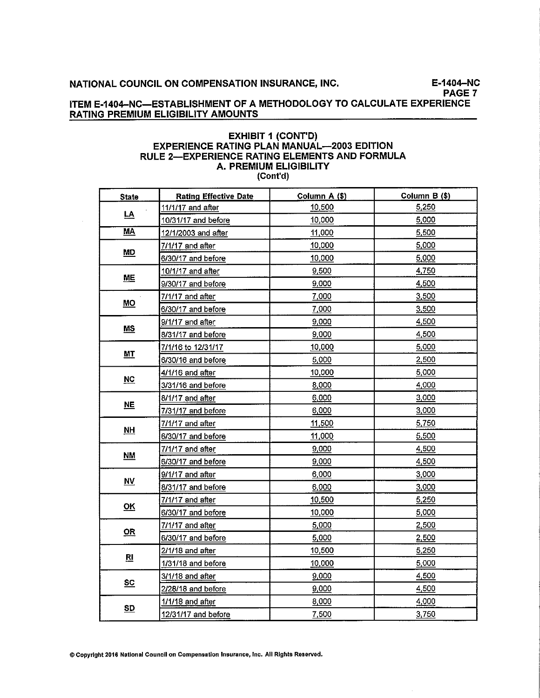E-1404-NC PAGE 7

## ITEM E-1404-NC-ESTABLISHMENT OF A METHODOLOGY TO CALCULATE EXPERIENCE **RATING PREMIUM ELIGIBILITY AMOUNTS**

#### **EXHIBIT 1 (CONT'D)** EXPERIENCE RATING PLAN MANUAL-2003 EDITION RULE 2-EXPERIENCE RATING ELEMENTS AND FORMULA A. PREMIUM ELIGIBILITY (Cont'd)

| <b>State</b>                                   | <b>Rating Effective Date</b> | Column A (\$) | Column B (\$) |  |
|------------------------------------------------|------------------------------|---------------|---------------|--|
|                                                | 11/1/17 and after            | 10,500        | 5,250         |  |
| <u>LA</u>                                      | 10/31/17 and before          | 10,000        | 5,000         |  |
| MA                                             | 12/1/2003 and after          | 11,000        | 5,500         |  |
|                                                | 7/1/17 and after             | 10,000        | 5,000         |  |
| <b>MD</b>                                      | 6/30/17 and before           | 10,000        | 5,000         |  |
|                                                | 10/1/17 and after            | 9,500         | 4.750         |  |
| <b>ME</b>                                      | 9/30/17 and before           | 9,000         | 4,500         |  |
|                                                | 7/1/17 and after             | 7,000         | 3,500         |  |
| $\underline{\mathsf{MO}}$                      | 6/30/17 and before           | 7,000         | 3,500         |  |
|                                                | 9/1/17 and after             | 9,000         | 4,500         |  |
| <b>MS</b>                                      | 8/31/17 and before           | 9,000         | 4.500         |  |
|                                                | 7/1/16 to 12/31/17           | 10,000        | 5.000         |  |
| <u>мт</u>                                      | 6/30/16 and before           | 5,000         | 2,500         |  |
|                                                | 4/1/16 and after             | 10,000        | 5 000         |  |
| $NC$                                           | 3/31/16 and before           | 8,000         | 4.000         |  |
|                                                | 8/1/17 and after             | 6,000         | 3,000         |  |
| $NE$                                           | 7/31/17 and before           | 6,000         | 3,000         |  |
|                                                | 7/1/17 and after             | 11,500        | 5.750         |  |
| <u>NH</u>                                      | 6/30/17 and before           | 11,000        | 5,500         |  |
|                                                | 7/1/17 and after             | 9,000         | 4,500         |  |
| M                                              | 6/30/17 and before           | 9,000         | 4.500         |  |
|                                                | 9/1/17 and after             | 6,000         | 3,000         |  |
| $\underline{\mathsf{N}}\underline{\mathsf{V}}$ | 8/31/17 and before           | 6,000         | 3,000         |  |
|                                                | 7/1/17 and after             | 10,500        | 5,250         |  |
| $\underline{\mathsf{OK}}$                      | 6/30/17 and before           | 10,000        | 5,000         |  |
|                                                | 7/1/17 and after             | 5,000         | 2.500         |  |
| $\mathbf{R}$                                   | 6/30/17 and before           | 5,000         | 2,500         |  |
|                                                | 2/1/18 and after             | 10,500        | 5.250         |  |
| $R_{\parallel}$                                | 1/31/18 and before           | 10,000        | 5.000         |  |
|                                                | 3/1/18 and after             | 9,000         | 4 500         |  |
| $\underline{\mathbf{sc}}$                      | 2/28/18 and before           | 9,000         | 4.500         |  |
|                                                | 1/1/18 and after             | 8,000         | 4.000         |  |
| <u>SD</u>                                      | 12/31/17 and before          | 7,500         | 3.750         |  |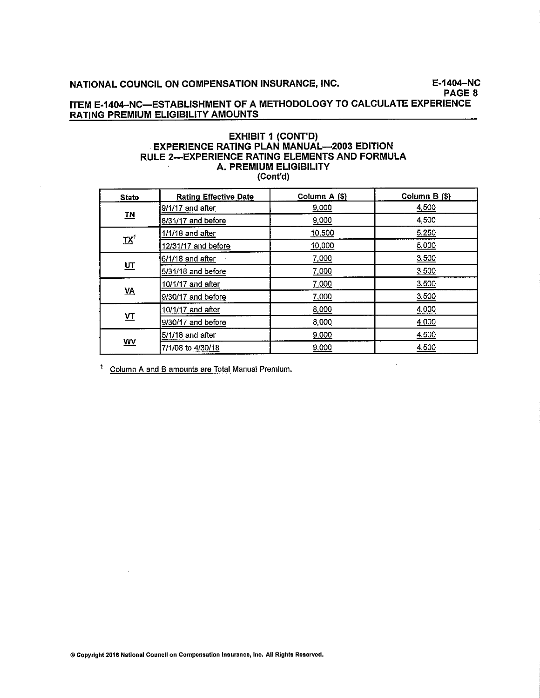E-1404-NC PAGE 8

 $\ddot{\phantom{a}}$ 

# ITEM E-1404-NC-ESTABLISHMENT OF A METHODOLOGY TO CALCULATE EXPERIENCE **RATING PREMIUM ELIGIBILITY AMOUNTS**

### **EXHIBIT 1 (CONT'D) EXPERIENCE RATING PLAN MANUAL-2003 EDITION** RULE 2-EXPERIENCE RATING ELEMENTS AND FORMULA **A. PREMIUM ELIGIBILITY** (Cont'd)

| <b>State</b>                                             | <b>Rating Effective Date</b> | Column A (\$) | Column B (\$) |  |
|----------------------------------------------------------|------------------------------|---------------|---------------|--|
|                                                          | $9/1/17$ and after           | 9,000         | 4,500         |  |
| $\underline{\mathbf{T}}\underline{\mathbf{N}}$           | 8/31/17 and before           | 9,000         | 4,500         |  |
|                                                          | $1/1/18$ and after           | 10,500        | 5.250         |  |
| $\underline{\mathbf{T}}\underline{\mathbf{X}}^{\dagger}$ | 12/31/17 and before          | 10,000        | 5,000         |  |
|                                                          | 6/1/18 and after             | 7,000         | 3,500         |  |
| $u$                                                      | 5/31/18 and before           | 7,000         | 3,500         |  |
| $\underline{VA}$                                         | 10/1/17 and after            | 7,000         | 3,500         |  |
|                                                          | 9/30/17 and before           | 7,000         | 3,500         |  |
|                                                          | 10/1/17 and after            | 8,000         | 4,000         |  |
| $\underline{\mathbf{v}}$                                 | 9/30/17 and before           | 8,000         | 4,000         |  |
| WV                                                       | 5/1/18 and after             | 9,000         | 4 500         |  |
|                                                          | 7/1/08 to 4/30/18            | 9,000         | 4,500         |  |

<sup>1</sup> Column A and B amounts are Total Manual Premium.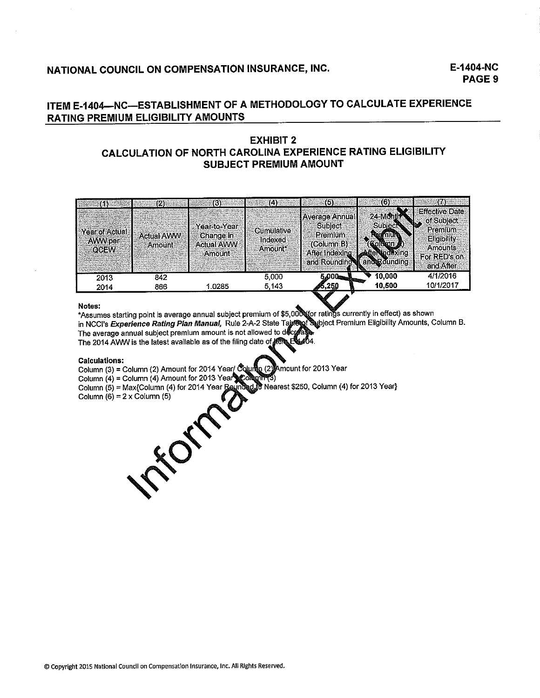# E-1404-NC **PAGE 9**

# ITEM E-1404-NC-ESTABLISHMENT OF A METHODOLOGY TO CALCULATE EXPERIENCE **RATING PREMIUM ELIGIBILITY AMOUNTS**

# **EXHIBIT 2** CALCULATION OF NORTH CAROLINA EXPERIENCE RATING ELIGIBILITY **SUBJECT PREMIUM AMOUNT**

|                                          | (2).                        | 13).                                              | (4):                             | (5)                                                                                                   | (6)                                     |                                                                                                                          |
|------------------------------------------|-----------------------------|---------------------------------------------------|----------------------------------|-------------------------------------------------------------------------------------------------------|-----------------------------------------|--------------------------------------------------------------------------------------------------------------------------|
| Year of Actual<br>AWW per<br><b>QCEW</b> | <b>Actual AWW</b><br>Amount | Year-to-Year<br>Change in<br>Actual AWW<br>Amount | Cumulative<br>Indexed<br>Amount* | <b>[Average Annual]</b><br><b>Subject:</b><br>Premium<br>(Column B)<br>After Indexing<br>and Rounding | 24-Month<br>Subject<br>and Rd<br>ındınd | <b>Effective Date</b><br>of Subject<br>P<br>Premium<br><b>Eligibility</b><br><b>Amounts</b><br>For RED's on<br>and After |
| 2013                                     | 842                         |                                                   | 5.000                            | 5.000                                                                                                 | 10,000                                  | 4/1/2016                                                                                                                 |
| 2014                                     | 866                         | 1.0285                                            | 5.143                            | Ø5,250                                                                                                | 10.500                                  | 10/1/2017                                                                                                                |

#### Notes:

\*Assumes starting point is average annual subject premium of \$5,000 for ratings currently in effect) as shown Subject Premium Eligibility Amounts, Column B. in NCCI's Experience Rating Plan Manual, Rule 2-A-2 State Table The average annual subject premium amount is not allowed to dec The 2014 AVWV is the latest available as of the filing date of term

#### **Calculations:**

Column (3) = Column (2) Amount for 2014 Year/ Colum Amount for 2013 Year  $(2)$ 

Column (4) = Column (4) Amount for 2013 Year column (4)

Column (5) = Max{Column (4) for 2014 Year Rounded & Nearest \$250, Column (4) for 2013 Year}

Column  $(6) = 2 \times$  Column  $(5)$ **FORTH**